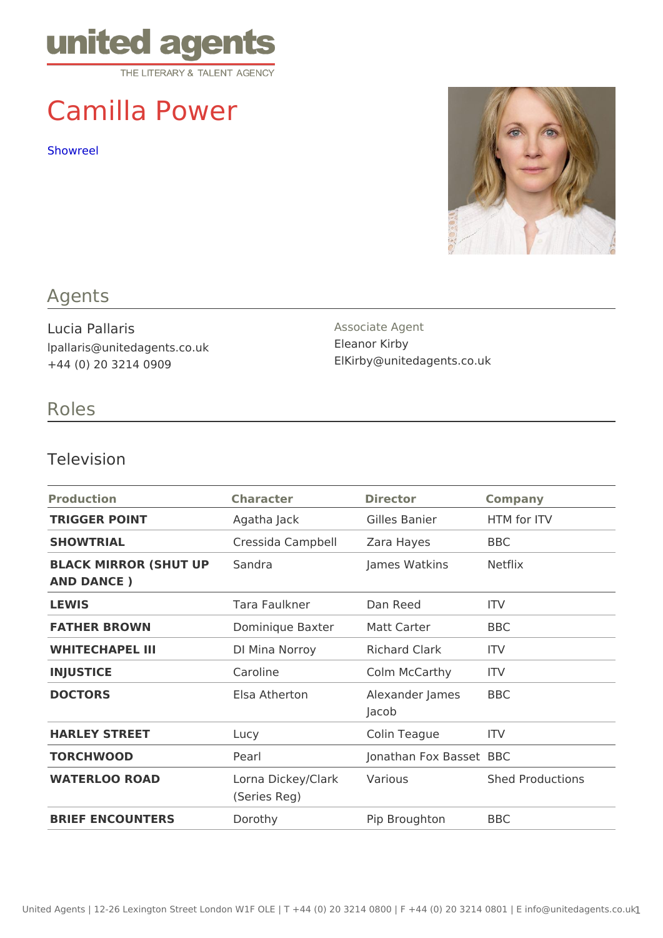# Camilla Power

[Showre](https://vimeo.com/555153454/9cfecc5ae5)el

### Agents

Lucia Pallaris lpallaris@unitedagents.co.uk +44 (0) 20 3214 0909

Associate Agent Eleanor Kirby ElKirby@unitedagents.co.uk

## Roles

#### Television

| Production                              | Character                                | Director                   | Company          |
|-----------------------------------------|------------------------------------------|----------------------------|------------------|
| TRIGGER POINT                           | Agatha Jack Gilles Banier                |                            | HTM for ITV      |
| SHOWTRIAL                               | Cressida CampbeZlara Hayes               |                            | BBC              |
| BLACK MIRROR (SHUT SPndra<br>AND DANCE) |                                          | James Watkins Netflix      |                  |
| LEWIS                                   | Tara Faulkner Dan Reed                   |                            | ITV              |
| FATHER BROWN                            | Dominique Baxtematt Carter               |                            | BBC              |
| WHITECHAPEL III                         | DI Mina Norroy                           | Richard Clark ITV          |                  |
| INJUSTICE                               | Caroline                                 | Colm McCarthy ITV          |                  |
| <b>DOCTORS</b>                          | Elsa Atherton                            | Alexander JameBBC<br>Jacob |                  |
| HARLEY STREET                           | Lucy                                     | Colin Teague ITV           |                  |
| <b>TORCHWOOD</b>                        | Pearl                                    | Jonathan Fox BBBSCet       |                  |
| WATERLOO ROAD                           | Lorna Dickey/ClaVkarious<br>(Series Reg) |                            | Shed Productions |
| BRIEF ENCOUNTERS                        | $D$ or $o$ th $y$                        | Pip Broughton BBC          |                  |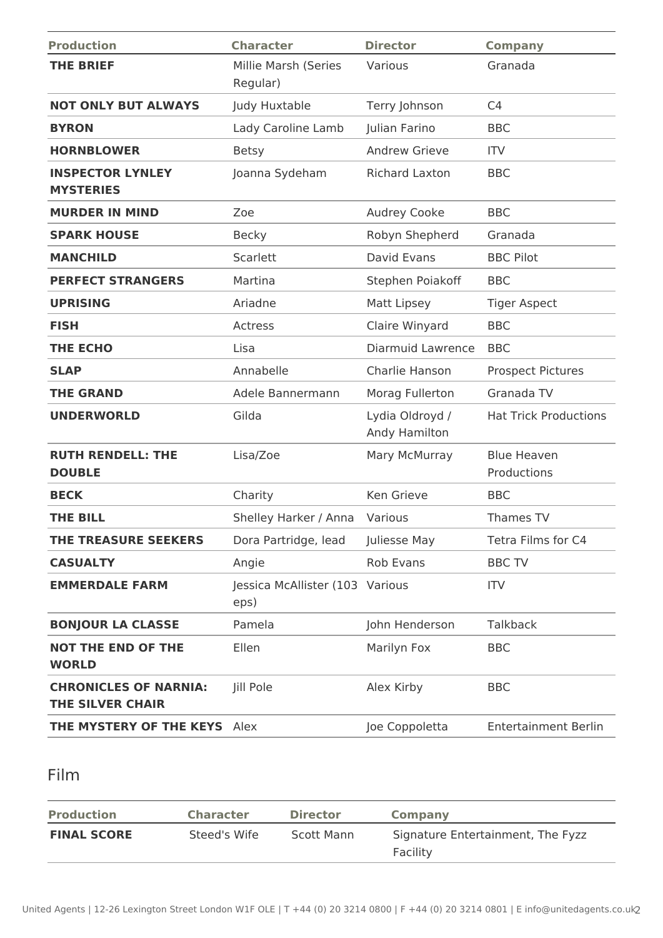| <b>Production</b>                                       | <b>Character</b>                        | <b>Director</b>                  | <b>Company</b>                    |
|---------------------------------------------------------|-----------------------------------------|----------------------------------|-----------------------------------|
| <b>THE BRIEF</b>                                        | Millie Marsh (Series<br>Regular)        | Various                          | Granada                           |
| <b>NOT ONLY BUT ALWAYS</b>                              | Judy Huxtable                           | Terry Johnson                    | C <sub>4</sub>                    |
| <b>BYRON</b>                                            | Lady Caroline Lamb                      | Julian Farino                    | <b>BBC</b>                        |
| <b>HORNBLOWER</b>                                       | <b>Betsy</b>                            | <b>Andrew Grieve</b>             | <b>ITV</b>                        |
| <b>INSPECTOR LYNLEY</b><br><b>MYSTERIES</b>             | Joanna Sydeham                          | <b>Richard Laxton</b>            | <b>BBC</b>                        |
| <b>MURDER IN MIND</b>                                   | Zoe                                     | <b>Audrey Cooke</b>              | <b>BBC</b>                        |
| <b>SPARK HOUSE</b>                                      | <b>Becky</b>                            | Robyn Shepherd                   | Granada                           |
| <b>MANCHILD</b>                                         | Scarlett                                | David Evans                      | <b>BBC Pilot</b>                  |
| <b>PERFECT STRANGERS</b>                                | Martina                                 | Stephen Poiakoff                 | <b>BBC</b>                        |
| <b>UPRISING</b>                                         | Ariadne                                 | Matt Lipsey                      | <b>Tiger Aspect</b>               |
| <b>FISH</b>                                             | Actress                                 | Claire Winyard                   | <b>BBC</b>                        |
| <b>THE ECHO</b>                                         | Lisa                                    | Diarmuid Lawrence                | <b>BBC</b>                        |
| <b>SLAP</b>                                             | Annabelle                               | Charlie Hanson                   | <b>Prospect Pictures</b>          |
| <b>THE GRAND</b>                                        | Adele Bannermann                        | Morag Fullerton                  | Granada TV                        |
| <b>UNDERWORLD</b>                                       | Gilda                                   | Lydia Oldroyd /<br>Andy Hamilton | <b>Hat Trick Productions</b>      |
| <b>RUTH RENDELL: THE</b><br><b>DOUBLE</b>               | Lisa/Zoe                                | Mary McMurray                    | <b>Blue Heaven</b><br>Productions |
| <b>BECK</b>                                             | Charity                                 | Ken Grieve                       | <b>BBC</b>                        |
| <b>THE BILL</b>                                         | Shelley Harker / Anna                   | Various                          | Thames TV                         |
| THE TREASURE SEEKERS                                    | Dora Partridge, lead                    | Juliesse May                     | Tetra Films for C4                |
| <b>CASUALTY</b>                                         | Angie                                   | <b>Rob Evans</b>                 | <b>BBC TV</b>                     |
| <b>EMMERDALE FARM</b>                                   | Jessica McAllister (103 Various<br>eps) |                                  | <b>ITV</b>                        |
| <b>BONJOUR LA CLASSE</b>                                | Pamela                                  | John Henderson                   | <b>Talkback</b>                   |
| <b>NOT THE END OF THE</b><br><b>WORLD</b>               | Ellen                                   | Marilyn Fox                      | <b>BBC</b>                        |
| <b>CHRONICLES OF NARNIA:</b><br><b>THE SILVER CHAIR</b> | Jill Pole                               | Alex Kirby                       | <b>BBC</b>                        |
| <b>THE MYSTERY OF THE KEYS</b> Alex                     |                                         | Joe Coppoletta                   | <b>Entertainment Berlin</b>       |

## Film

| <b>Production</b>  | <b>Character</b> | <b>Director</b> | Company                                       |
|--------------------|------------------|-----------------|-----------------------------------------------|
| <b>FINAL SCORE</b> | Steed's Wife     | Scott Mann      | Signature Entertainment, The Fyzz<br>Facility |